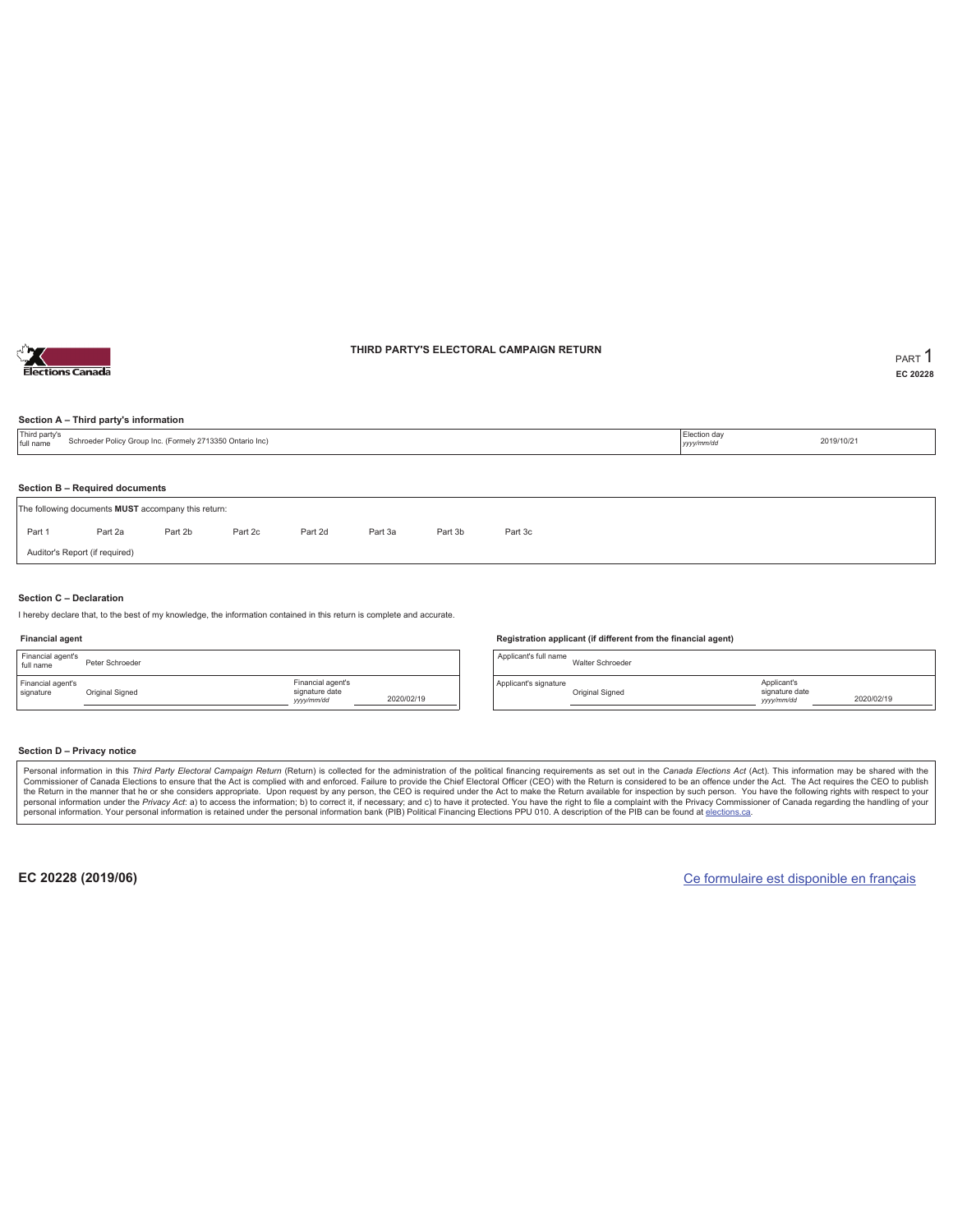

### **THIRD PARTY'S ELECTORAL CAMPAIGN RETURN PART** 1

**EC 20228**

### **Section A – Third party's information**

| Third party's<br>full name | Schroeder Policy Group Inc. (Formely 2713350 Ontario Inc)                             |         |         | Election day<br>yyyy/mm/dd | 2019/10/21 |         |         |  |  |  |  |  |
|----------------------------|---------------------------------------------------------------------------------------|---------|---------|----------------------------|------------|---------|---------|--|--|--|--|--|
|                            |                                                                                       |         |         |                            |            |         |         |  |  |  |  |  |
|                            | Section B - Required documents<br>The following documents MUST accompany this return: |         |         |                            |            |         |         |  |  |  |  |  |
| Part 1                     | Part 2a                                                                               | Part 2b | Part 2c | Part 2d                    | Part 3a    | Part 3b | Part 3c |  |  |  |  |  |
|                            | Auditor's Report (if required)                                                        |         |         |                            |            |         |         |  |  |  |  |  |
|                            |                                                                                       |         |         |                            |            |         |         |  |  |  |  |  |

#### **Section C – Declaration**

I hereby declare that, to the best of my knowledge, the information contained in this return is complete and accurate.

#### **Financial agent**

| Financial agent's<br>full name | Peter Schroeder |                                                  |            |
|--------------------------------|-----------------|--------------------------------------------------|------------|
| Financial agent's<br>signature | Original Signed | Financial agent's<br>signature date<br>yyy/mm/dd | 2020/02/19 |

#### **Registration applicant (if different from the financial agent)**

Applicant's full name Walter Schroeder Applicant's signature Original Signed Applicant's signature date *yyyy/mm/dd* 2020/02/19

### **Section D – Privacy notice**

Personal information in this Third Party Electoral Campaign Return (Return) is collected for the administration of the political financing requirements as set out in the Canada Elections Act (Act). This information may be Commissioner of Canada Elections to ensure that the Act is complied with and enforced. Failure to provide the Chief Electoral Officer (CEO) with the Return is considered to be an offence under the Act. The Act requires the personal information. Your personal information is retained under the personal information bank (PIB) Political Financing Elections PPU 010. A description of the PIB can be found at elections.ca.

**EC 20228 (2019/06)** Ce formulaire est disponible en français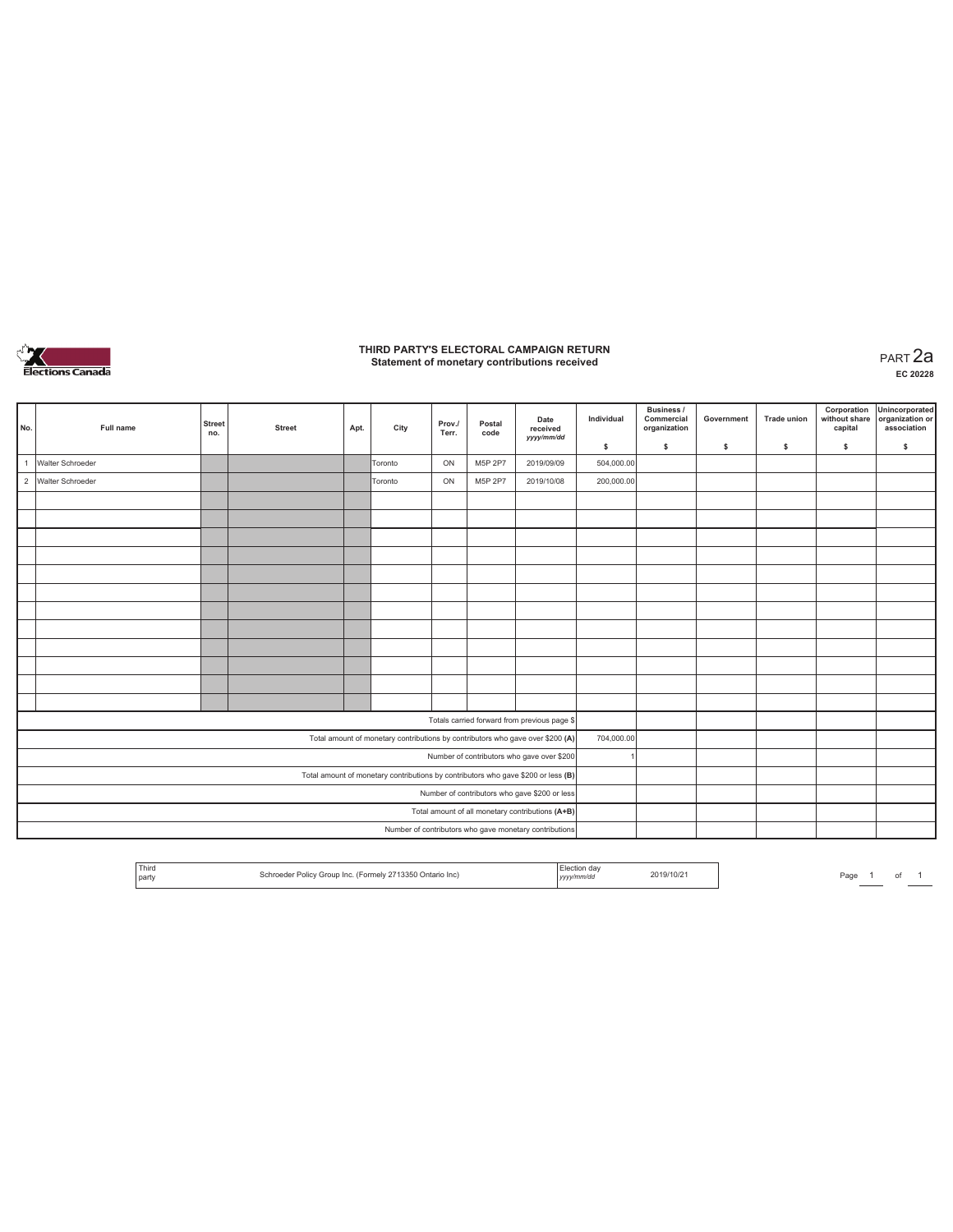

## **THIRD PARTY'S ELECTORAL CAMPAIGN RETURN Statement of monetary contributions received** PART 2a

| No.            | Full name          | <b>Street</b><br>no.                                                              | <b>Street</b> | Apt. | City                                                                           | Prov./<br>Terr. | Postal<br>code | Date<br>received<br>yyyy/mm/dd                         | Individual | <b>Business /</b><br>Commercial<br>organization | Government | <b>Trade union</b> | Corporation<br>without share<br>capital | Unincorporated<br>organization or<br>association |
|----------------|--------------------|-----------------------------------------------------------------------------------|---------------|------|--------------------------------------------------------------------------------|-----------------|----------------|--------------------------------------------------------|------------|-------------------------------------------------|------------|--------------------|-----------------------------------------|--------------------------------------------------|
|                |                    |                                                                                   |               |      |                                                                                |                 |                |                                                        | \$         | \$                                              | \$         | s                  | \$                                      | \$                                               |
| $\overline{1}$ | Walter Schroeder   |                                                                                   |               |      | Toronto                                                                        | ON              | M5P 2P7        | 2019/09/09                                             | 504,000.00 |                                                 |            |                    |                                         |                                                  |
|                | 2 Walter Schroeder |                                                                                   |               |      | Toronto                                                                        | ON              | M5P 2P7        | 2019/10/08                                             | 200,000.00 |                                                 |            |                    |                                         |                                                  |
|                |                    |                                                                                   |               |      |                                                                                |                 |                |                                                        |            |                                                 |            |                    |                                         |                                                  |
|                |                    |                                                                                   |               |      |                                                                                |                 |                |                                                        |            |                                                 |            |                    |                                         |                                                  |
|                |                    |                                                                                   |               |      |                                                                                |                 |                |                                                        |            |                                                 |            |                    |                                         |                                                  |
|                |                    |                                                                                   |               |      |                                                                                |                 |                |                                                        |            |                                                 |            |                    |                                         |                                                  |
|                |                    |                                                                                   |               |      |                                                                                |                 |                |                                                        |            |                                                 |            |                    |                                         |                                                  |
|                |                    |                                                                                   |               |      |                                                                                |                 |                |                                                        |            |                                                 |            |                    |                                         |                                                  |
|                |                    |                                                                                   |               |      |                                                                                |                 |                |                                                        |            |                                                 |            |                    |                                         |                                                  |
|                |                    |                                                                                   |               |      |                                                                                |                 |                |                                                        |            |                                                 |            |                    |                                         |                                                  |
|                |                    |                                                                                   |               |      |                                                                                |                 |                |                                                        |            |                                                 |            |                    |                                         |                                                  |
|                |                    |                                                                                   |               |      |                                                                                |                 |                |                                                        |            |                                                 |            |                    |                                         |                                                  |
|                |                    |                                                                                   |               |      |                                                                                |                 |                |                                                        |            |                                                 |            |                    |                                         |                                                  |
|                |                    |                                                                                   |               |      |                                                                                |                 |                |                                                        |            |                                                 |            |                    |                                         |                                                  |
|                |                    |                                                                                   |               |      |                                                                                |                 |                | Totals carried forward from previous page \$           |            |                                                 |            |                    |                                         |                                                  |
|                |                    |                                                                                   |               |      | Total amount of monetary contributions by contributors who gave over \$200 (A) |                 |                |                                                        | 704,000.00 |                                                 |            |                    |                                         |                                                  |
|                |                    | Number of contributors who gave over \$200                                        |               |      |                                                                                |                 |                |                                                        |            |                                                 |            |                    |                                         |                                                  |
|                |                    | Total amount of monetary contributions by contributors who gave \$200 or less (B) |               |      |                                                                                |                 |                |                                                        |            |                                                 |            |                    |                                         |                                                  |
|                |                    | Number of contributors who gave \$200 or less                                     |               |      |                                                                                |                 |                |                                                        |            |                                                 |            |                    |                                         |                                                  |
|                |                    |                                                                                   |               |      |                                                                                |                 |                | Total amount of all monetary contributions (A+B)       |            |                                                 |            |                    |                                         |                                                  |
|                |                    |                                                                                   |               |      |                                                                                |                 |                | Number of contributors who gave monetary contributions |            |                                                 |            |                    |                                         |                                                  |

| Third<br>and the control of the con-<br>party | 27425<br>ה בפנ<br>. Cormon:<br>Group Inc.<br>2 obroo | ua<br>yyyymm/ae | 2019/10/2 | Page |  |  |
|-----------------------------------------------|------------------------------------------------------|-----------------|-----------|------|--|--|
|                                               |                                                      |                 |           |      |  |  |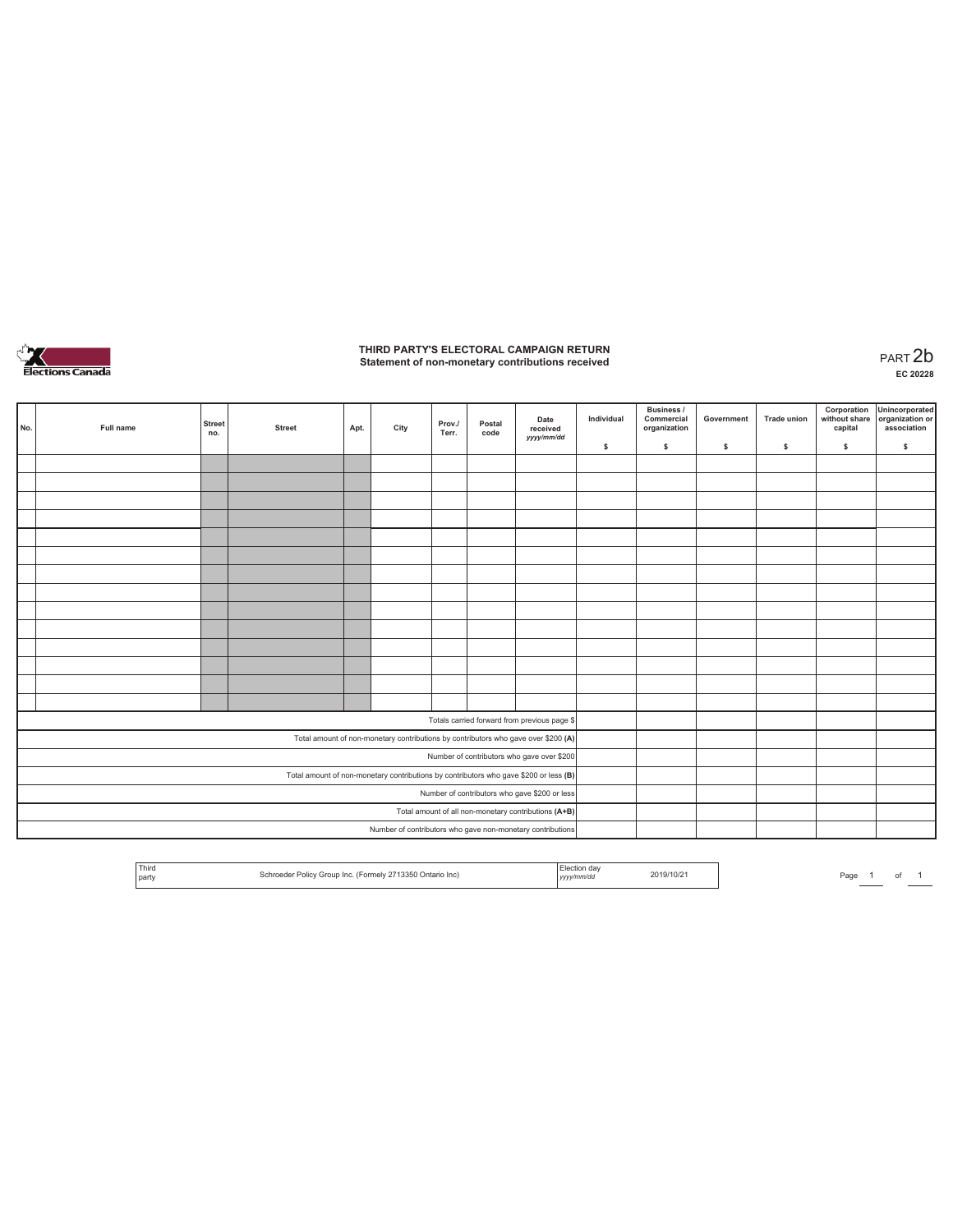

# **THIRD PARTY'S ELECTORAL CAMPAIGN RETURN Statement of non-monetary contributions received** PART 2b

| No.                                                                                   | Full name | <b>Street</b><br>no.                                 | <b>Street</b> | Apt. | City | Prov./<br>Terr. | Postal<br>code | Date<br>received<br>yyyy/mm/dd                                                     | Individual | <b>Business /</b><br>Commercial<br>organization | Government | <b>Trade union</b> | Corporation<br>without share<br>capital | Unincorporated<br>organization or<br>association |
|---------------------------------------------------------------------------------------|-----------|------------------------------------------------------|---------------|------|------|-----------------|----------------|------------------------------------------------------------------------------------|------------|-------------------------------------------------|------------|--------------------|-----------------------------------------|--------------------------------------------------|
|                                                                                       |           |                                                      |               |      |      |                 |                |                                                                                    | \$         | $\mathbb S$                                     | \$.        | \$                 | \$                                      | \$                                               |
|                                                                                       |           |                                                      |               |      |      |                 |                |                                                                                    |            |                                                 |            |                    |                                         |                                                  |
|                                                                                       |           |                                                      |               |      |      |                 |                |                                                                                    |            |                                                 |            |                    |                                         |                                                  |
|                                                                                       |           |                                                      |               |      |      |                 |                |                                                                                    |            |                                                 |            |                    |                                         |                                                  |
|                                                                                       |           |                                                      |               |      |      |                 |                |                                                                                    |            |                                                 |            |                    |                                         |                                                  |
|                                                                                       |           |                                                      |               |      |      |                 |                |                                                                                    |            |                                                 |            |                    |                                         |                                                  |
|                                                                                       |           |                                                      |               |      |      |                 |                |                                                                                    |            |                                                 |            |                    |                                         |                                                  |
|                                                                                       |           |                                                      |               |      |      |                 |                |                                                                                    |            |                                                 |            |                    |                                         |                                                  |
|                                                                                       |           |                                                      |               |      |      |                 |                |                                                                                    |            |                                                 |            |                    |                                         |                                                  |
|                                                                                       |           |                                                      |               |      |      |                 |                |                                                                                    |            |                                                 |            |                    |                                         |                                                  |
|                                                                                       |           |                                                      |               |      |      |                 |                |                                                                                    |            |                                                 |            |                    |                                         |                                                  |
|                                                                                       |           |                                                      |               |      |      |                 |                |                                                                                    |            |                                                 |            |                    |                                         |                                                  |
|                                                                                       |           |                                                      |               |      |      |                 |                |                                                                                    |            |                                                 |            |                    |                                         |                                                  |
|                                                                                       |           |                                                      |               |      |      |                 |                |                                                                                    |            |                                                 |            |                    |                                         |                                                  |
|                                                                                       |           |                                                      |               |      |      |                 |                |                                                                                    |            |                                                 |            |                    |                                         |                                                  |
|                                                                                       |           |                                                      |               |      |      |                 |                | Totals carried forward from previous page \$                                       |            |                                                 |            |                    |                                         |                                                  |
|                                                                                       |           |                                                      |               |      |      |                 |                | Total amount of non-monetary contributions by contributors who gave over \$200 (A) |            |                                                 |            |                    |                                         |                                                  |
|                                                                                       |           |                                                      |               |      |      |                 |                | Number of contributors who gave over \$200                                         |            |                                                 |            |                    |                                         |                                                  |
| Total amount of non-monetary contributions by contributors who gave \$200 or less (B) |           |                                                      |               |      |      |                 |                |                                                                                    |            |                                                 |            |                    |                                         |                                                  |
| Number of contributors who gave \$200 or less                                         |           |                                                      |               |      |      |                 |                |                                                                                    |            |                                                 |            |                    |                                         |                                                  |
|                                                                                       |           | Total amount of all non-monetary contributions (A+B) |               |      |      |                 |                |                                                                                    |            |                                                 |            |                    |                                         |                                                  |
|                                                                                       |           |                                                      |               |      |      |                 |                | Number of contributors who gave non-monetary contributions                         |            |                                                 |            |                    |                                         |                                                  |

|  | Third<br>≀ Inc<br>Ontario.<br>and the control of the con-<br>party<br>. | ,,,,, | 019/10/2 |  | Pagu |  |  |  |
|--|-------------------------------------------------------------------------|-------|----------|--|------|--|--|--|
|--|-------------------------------------------------------------------------|-------|----------|--|------|--|--|--|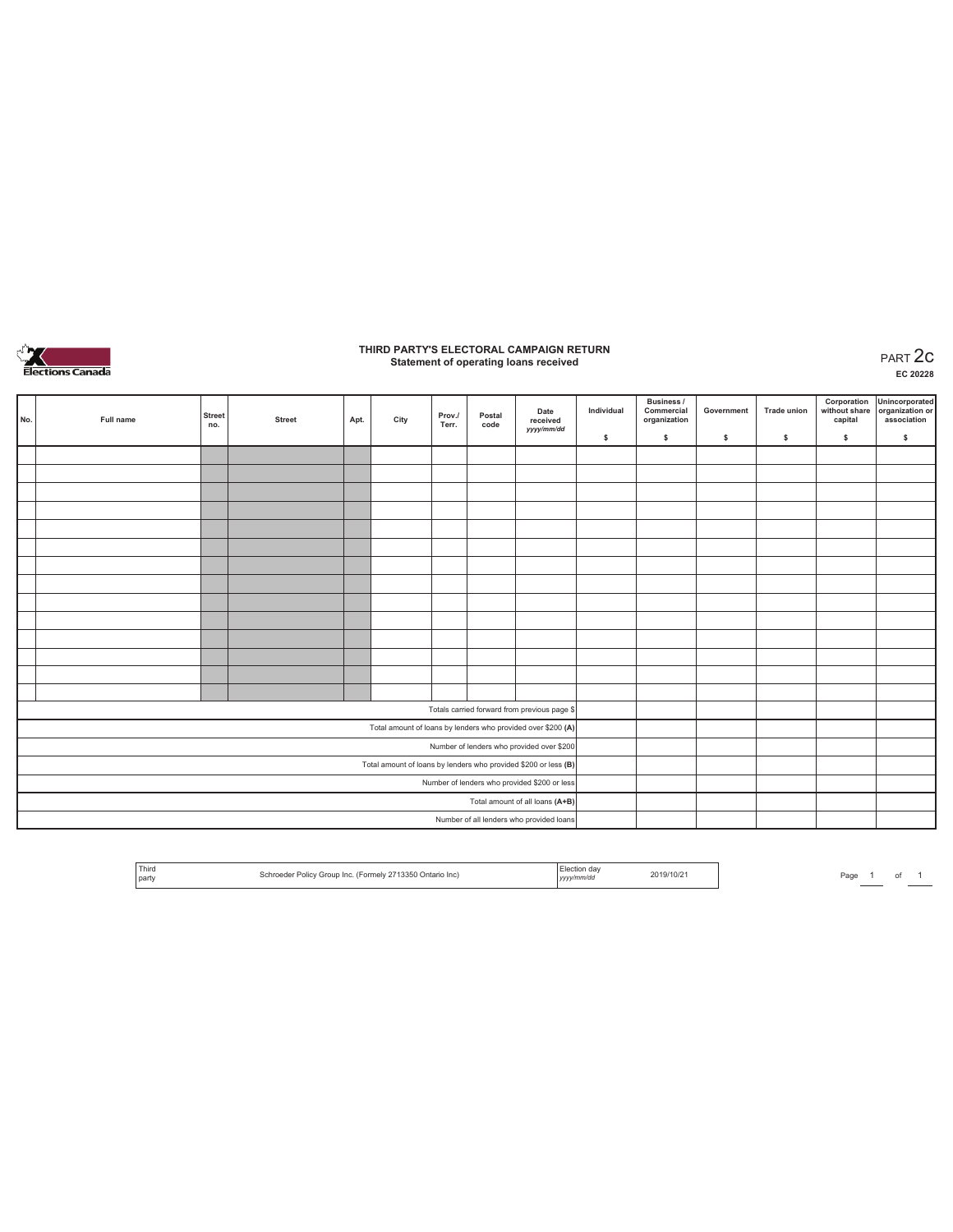

## **THIRD PARTY'S ELECTORAL CAMPAIGN RETURN Statement of operating loans received** PART 2c

**EC 20228**

|                                                                 | No.                                          | Full name | <b>Street</b><br>no. | <b>Street</b> | Apt. | City | Prov./<br>Terr. | Postal<br>code | Date<br>received<br>yyyy/mm/dd                               | Individual | <b>Business /</b><br>Commercial<br>organization | Government | <b>Trade union</b> | Corporation<br>without share<br>capital | Unincorporated<br>organization or<br>association |
|-----------------------------------------------------------------|----------------------------------------------|-----------|----------------------|---------------|------|------|-----------------|----------------|--------------------------------------------------------------|------------|-------------------------------------------------|------------|--------------------|-----------------------------------------|--------------------------------------------------|
|                                                                 |                                              |           |                      |               |      |      |                 |                |                                                              | \$         | \$.                                             | \$         | s                  | \$                                      | $\mathbb S$                                      |
|                                                                 |                                              |           |                      |               |      |      |                 |                |                                                              |            |                                                 |            |                    |                                         |                                                  |
|                                                                 |                                              |           |                      |               |      |      |                 |                |                                                              |            |                                                 |            |                    |                                         |                                                  |
|                                                                 |                                              |           |                      |               |      |      |                 |                |                                                              |            |                                                 |            |                    |                                         |                                                  |
|                                                                 |                                              |           |                      |               |      |      |                 |                |                                                              |            |                                                 |            |                    |                                         |                                                  |
|                                                                 |                                              |           |                      |               |      |      |                 |                |                                                              |            |                                                 |            |                    |                                         |                                                  |
|                                                                 |                                              |           |                      |               |      |      |                 |                |                                                              |            |                                                 |            |                    |                                         |                                                  |
|                                                                 |                                              |           |                      |               |      |      |                 |                |                                                              |            |                                                 |            |                    |                                         |                                                  |
|                                                                 |                                              |           |                      |               |      |      |                 |                |                                                              |            |                                                 |            |                    |                                         |                                                  |
|                                                                 |                                              |           |                      |               |      |      |                 |                |                                                              |            |                                                 |            |                    |                                         |                                                  |
|                                                                 |                                              |           |                      |               |      |      |                 |                |                                                              |            |                                                 |            |                    |                                         |                                                  |
|                                                                 |                                              |           |                      |               |      |      |                 |                |                                                              |            |                                                 |            |                    |                                         |                                                  |
|                                                                 |                                              |           |                      |               |      |      |                 |                |                                                              |            |                                                 |            |                    |                                         |                                                  |
|                                                                 |                                              |           |                      |               |      |      |                 |                |                                                              |            |                                                 |            |                    |                                         |                                                  |
|                                                                 |                                              |           |                      |               |      |      |                 |                |                                                              |            |                                                 |            |                    |                                         |                                                  |
|                                                                 |                                              |           |                      |               |      |      |                 |                | Totals carried forward from previous page \$                 |            |                                                 |            |                    |                                         |                                                  |
|                                                                 |                                              |           |                      |               |      |      |                 |                | Total amount of loans by lenders who provided over \$200 (A) |            |                                                 |            |                    |                                         |                                                  |
|                                                                 |                                              |           |                      |               |      |      |                 |                | Number of lenders who provided over \$200                    |            |                                                 |            |                    |                                         |                                                  |
| Total amount of loans by lenders who provided \$200 or less (B) |                                              |           |                      |               |      |      |                 |                |                                                              |            |                                                 |            |                    |                                         |                                                  |
|                                                                 | Number of lenders who provided \$200 or less |           |                      |               |      |      |                 |                |                                                              |            |                                                 |            |                    |                                         |                                                  |
|                                                                 | Total amount of all loans (A+B)              |           |                      |               |      |      |                 |                |                                                              |            |                                                 |            |                    |                                         |                                                  |
|                                                                 |                                              |           |                      |               |      |      |                 |                | Number of all lenders who provided loans                     |            |                                                 |            |                    |                                         |                                                  |

| Third<br>l party | Schroeder Policy Group Inc. (Formely 2713350 Ontario Inc) | Election day<br>yyyy/mm/dd | 2019/10/21 |
|------------------|-----------------------------------------------------------|----------------------------|------------|

Page  $1$  of  $1$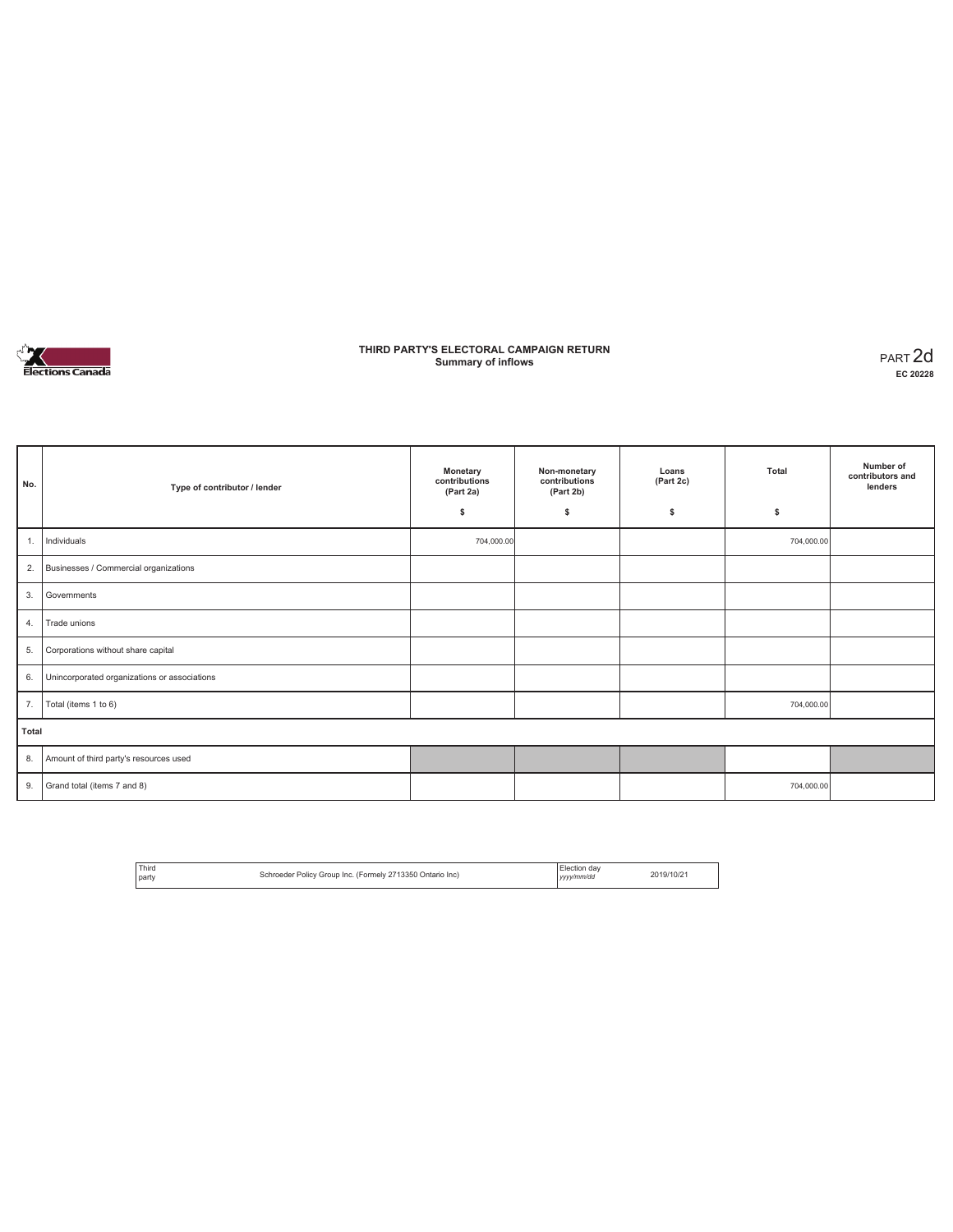

### **THIRD PARTY'S ELECTORAL CAMPAIGN RETURN Summary of inflows** PART 2d

| No.   | Type of contributor / lender                 | Monetary<br>contributions<br>(Part 2a)<br>\$ | Non-monetary<br>contributions<br>(Part 2b)<br>\$ | Loans<br>(Part 2c)<br>s | Total<br>\$ | Number of<br>contributors and<br>lenders |
|-------|----------------------------------------------|----------------------------------------------|--------------------------------------------------|-------------------------|-------------|------------------------------------------|
|       |                                              |                                              |                                                  |                         |             |                                          |
| 1.    | Individuals                                  | 704,000.00                                   |                                                  |                         | 704,000.00  |                                          |
| 2.    | Businesses / Commercial organizations        |                                              |                                                  |                         |             |                                          |
| 3.    | Governments                                  |                                              |                                                  |                         |             |                                          |
| 4.    | Trade unions                                 |                                              |                                                  |                         |             |                                          |
| 5.    | Corporations without share capital           |                                              |                                                  |                         |             |                                          |
| 6.    | Unincorporated organizations or associations |                                              |                                                  |                         |             |                                          |
| 7.    | Total (items 1 to 6)                         |                                              |                                                  |                         | 704,000.00  |                                          |
| Total |                                              |                                              |                                                  |                         |             |                                          |
| 8.    | Amount of third party's resources used       |                                              |                                                  |                         |             |                                          |
| 9.    | Grand total (items 7 and 8)                  |                                              |                                                  |                         | 704,000.00  |                                          |

| Third<br>Schroeder Policy Group Inc. (Formely 2713350 Ontario Inc)<br>party | Election day<br>yyyy/mm/dd | 2019/10/2 |
|-----------------------------------------------------------------------------|----------------------------|-----------|
|-----------------------------------------------------------------------------|----------------------------|-----------|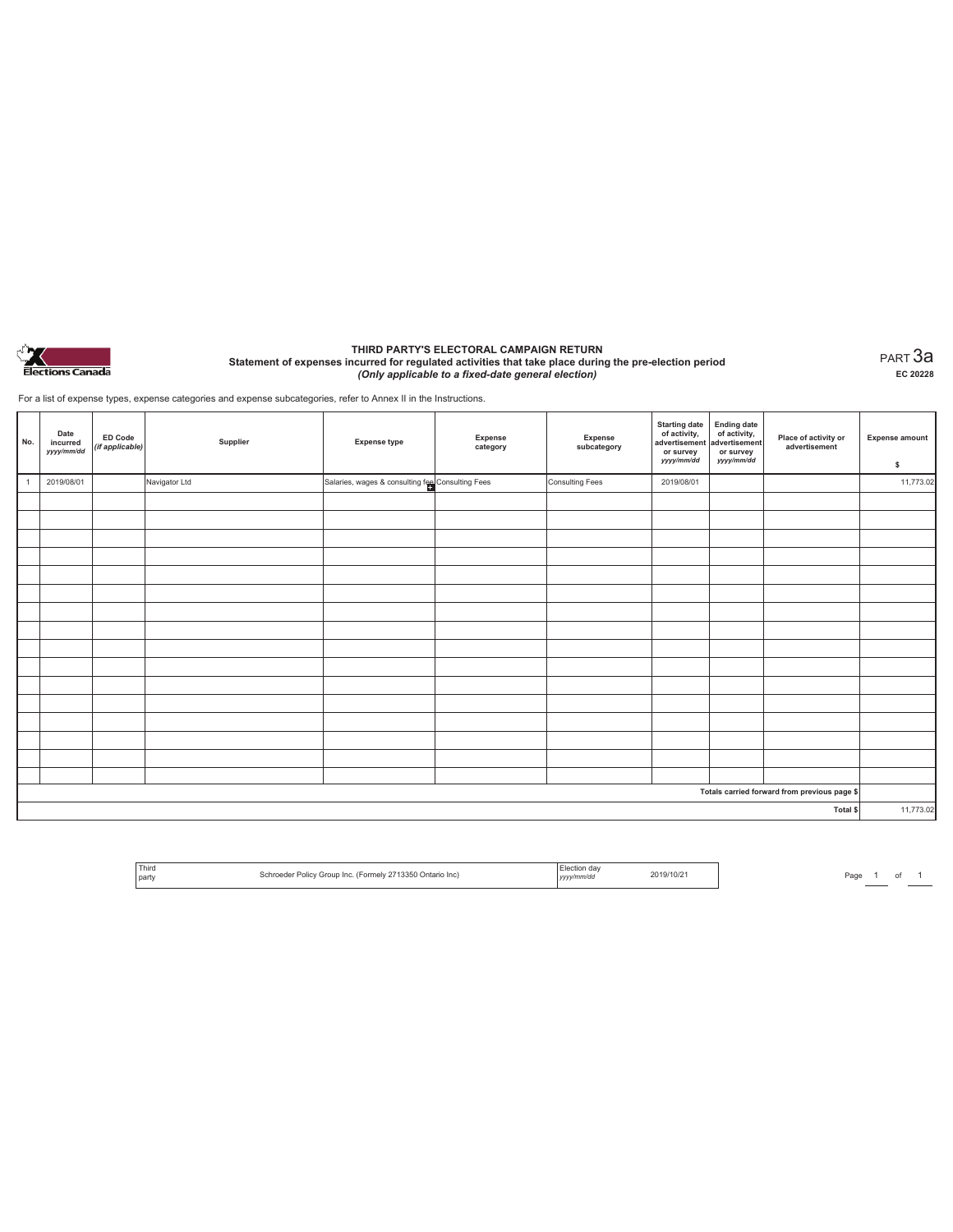

#### **THIRD PARTY'S ELECTORAL CAMPAIGN RETURN Statement of expenses incurred for regulated activities that take place during the pre-election period**  *(Only applicable to a fixed-date general election)*

PART 3a **EC 20228**

For a list of expense types, expense categories and expense subcategories, refer to Annex II in the Instructions.

| No.            | Date<br>incurred<br>yyyy/mm/dd | ED Code<br>(if applicable) | Supplier      | <b>Expense type</b>                              | <b>Expense</b><br>category | Expense<br>subcategory | <b>Starting date</b><br>of activity,<br>advertisement advertisement<br>or survey<br>yyyy/mm/dd | Ending date<br>of activity,<br>or survey<br>yyyy/mm/dd | Place of activity or<br>advertisement        | <b>Expense amount</b><br>\$ |  |  |
|----------------|--------------------------------|----------------------------|---------------|--------------------------------------------------|----------------------------|------------------------|------------------------------------------------------------------------------------------------|--------------------------------------------------------|----------------------------------------------|-----------------------------|--|--|
| $\overline{1}$ | 2019/08/01                     |                            | Navigator Ltd | Salaries, wages & consulting fee Consulting Fees |                            | Consulting Fees        | 2019/08/01                                                                                     |                                                        |                                              | 11,773.02                   |  |  |
|                |                                |                            |               |                                                  |                            |                        |                                                                                                |                                                        |                                              |                             |  |  |
|                |                                |                            |               |                                                  |                            |                        |                                                                                                |                                                        |                                              |                             |  |  |
|                |                                |                            |               |                                                  |                            |                        |                                                                                                |                                                        |                                              |                             |  |  |
|                |                                |                            |               |                                                  |                            |                        |                                                                                                |                                                        |                                              |                             |  |  |
|                |                                |                            |               |                                                  |                            |                        |                                                                                                |                                                        |                                              |                             |  |  |
|                |                                |                            |               |                                                  |                            |                        |                                                                                                |                                                        |                                              |                             |  |  |
|                |                                |                            |               |                                                  |                            |                        |                                                                                                |                                                        |                                              |                             |  |  |
|                |                                |                            |               |                                                  |                            |                        |                                                                                                |                                                        |                                              |                             |  |  |
|                |                                |                            |               |                                                  |                            |                        |                                                                                                |                                                        |                                              |                             |  |  |
|                |                                |                            |               |                                                  |                            |                        |                                                                                                |                                                        |                                              |                             |  |  |
|                |                                |                            |               |                                                  |                            |                        |                                                                                                |                                                        |                                              |                             |  |  |
|                |                                |                            |               |                                                  |                            |                        |                                                                                                |                                                        |                                              |                             |  |  |
|                |                                |                            |               |                                                  |                            |                        |                                                                                                |                                                        |                                              |                             |  |  |
|                |                                |                            |               |                                                  |                            |                        |                                                                                                |                                                        |                                              |                             |  |  |
|                |                                |                            |               |                                                  |                            |                        |                                                                                                |                                                        |                                              |                             |  |  |
|                |                                |                            |               |                                                  |                            |                        |                                                                                                |                                                        |                                              |                             |  |  |
|                |                                |                            |               |                                                  |                            |                        |                                                                                                |                                                        | Totals carried forward from previous page \$ | 11,773.02                   |  |  |
|                | Total \$                       |                            |               |                                                  |                            |                        |                                                                                                |                                                        |                                              |                             |  |  |

Page  $1$  of  $1$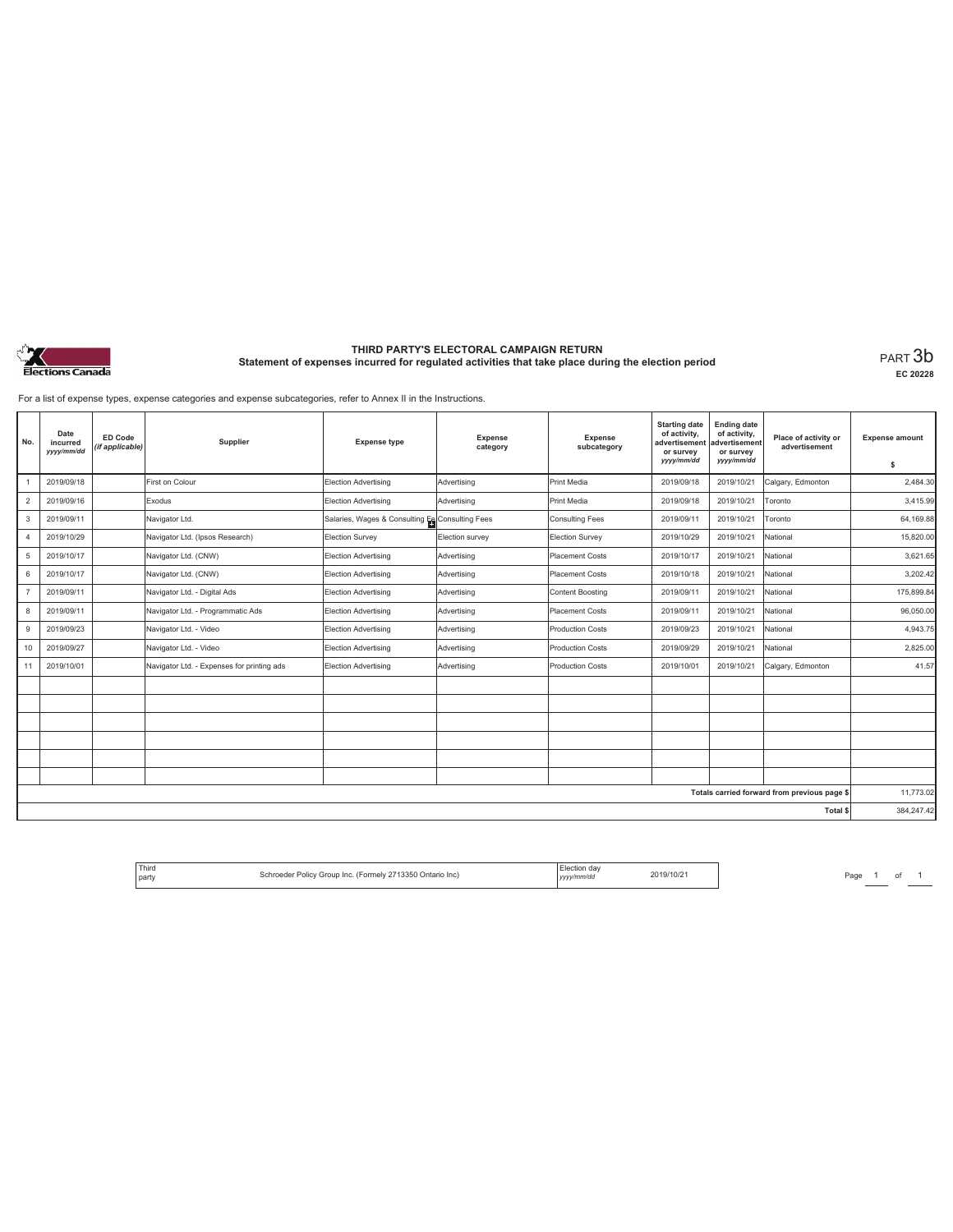

# **THIRD PARTY'S ELECTORAL CAMPAIGN RETURN Statement of expenses incurred for regulated activities that take place during the election period** PART 3b

**EC 20228**

For a list of expense types, expense categories and expense subcategories, refer to Annex II in the Instructions.

| No.            | Date<br>incurred<br>yyyy/mm/dd | <b>ED Code</b><br>(if applicable) | Supplier                                   | <b>Expense type</b>                             | Expense<br>category | Expense<br>subcategory | <b>Starting date</b><br>of activity,<br>advertisement<br>or survey<br>yyyy/mm/dd | <b>Ending date</b><br>of activity,<br>advertisement<br>or survey<br>yyyy/mm/dd | Place of activity or<br>advertisement        | <b>Expense amount</b><br>\$ |
|----------------|--------------------------------|-----------------------------------|--------------------------------------------|-------------------------------------------------|---------------------|------------------------|----------------------------------------------------------------------------------|--------------------------------------------------------------------------------|----------------------------------------------|-----------------------------|
|                | 2019/09/18                     |                                   | First on Colour                            | <b>Election Advertising</b>                     | Advertising         | Print Media            | 2019/09/18                                                                       | 2019/10/21                                                                     | Calgary, Edmonton                            | 2,484.30                    |
| $\overline{2}$ | 2019/09/16                     |                                   | Exodus                                     | Election Advertising                            | Advertising         | Print Media            | 2019/09/18                                                                       | 2019/10/21                                                                     | Toronto                                      | 3,415.99                    |
| 3              | 2019/09/11                     |                                   | Navigator Ltd.                             | Salaries, Wages & Consulting Fe Consulting Fees |                     | Consulting Fees        | 2019/09/11                                                                       | 2019/10/21                                                                     | Toronto                                      | 64,169.88                   |
| $\overline{4}$ | 2019/10/29                     |                                   | Navigator Ltd. (Ipsos Research)            | Election Survey                                 | Election survey     | Election Survey        | 2019/10/29                                                                       | 2019/10/21                                                                     | National                                     | 15,820.00                   |
| 5              | 2019/10/17                     |                                   | Navigator Ltd. (CNW)                       | Election Advertising                            | Advertising         | Placement Costs        | 2019/10/17                                                                       | 2019/10/21                                                                     | National                                     | 3,621.65                    |
| 6              | 2019/10/17                     |                                   | Navigator Ltd. (CNW)                       | Election Advertising                            | Advertising         | Placement Costs        | 2019/10/18                                                                       | 2019/10/21                                                                     | National                                     | 3,202.42                    |
| $\overline{7}$ | 2019/09/11                     |                                   | Navigator Ltd. - Digital Ads               | Election Advertising                            | Advertising         | Content Boosting       | 2019/09/11                                                                       | 2019/10/21                                                                     | National                                     | 175,899.84                  |
| 8              | 2019/09/11                     |                                   | Navigator Ltd. - Programmatic Ads          | Election Advertising                            | Advertising         | Placement Costs        | 2019/09/11                                                                       | 2019/10/21                                                                     | National                                     | 96,050.00                   |
| 9              | 2019/09/23                     |                                   | Navigator Ltd. - Video                     | Election Advertising                            | Advertising         | Production Costs       | 2019/09/23                                                                       | 2019/10/21                                                                     | National                                     | 4,943.75                    |
| 10             | 2019/09/27                     |                                   | Navigator Ltd. - Video                     | Election Advertising                            | Advertising         | Production Costs       | 2019/09/29                                                                       | 2019/10/21                                                                     | National                                     | 2,825.00                    |
| 11             | 2019/10/01                     |                                   | Navigator Ltd. - Expenses for printing ads | Election Advertising                            | Advertising         | Production Costs       | 2019/10/01                                                                       | 2019/10/21                                                                     | Calgary, Edmonton                            | 41.57                       |
|                |                                |                                   |                                            |                                                 |                     |                        |                                                                                  |                                                                                |                                              |                             |
|                |                                |                                   |                                            |                                                 |                     |                        |                                                                                  |                                                                                |                                              |                             |
|                |                                |                                   |                                            |                                                 |                     |                        |                                                                                  |                                                                                |                                              |                             |
|                |                                |                                   |                                            |                                                 |                     |                        |                                                                                  |                                                                                |                                              |                             |
|                |                                |                                   |                                            |                                                 |                     |                        |                                                                                  |                                                                                |                                              |                             |
|                |                                |                                   |                                            |                                                 |                     |                        |                                                                                  |                                                                                |                                              |                             |
|                |                                |                                   |                                            |                                                 |                     |                        |                                                                                  |                                                                                | Totals carried forward from previous page \$ | 11,773.02                   |
|                |                                |                                   |                                            |                                                 |                     |                        |                                                                                  |                                                                                | Total \$                                     | 384,247.42                  |

| Third<br>party | Schroeder Policy Group Inc. (Formely 2713350 Ontario Inc) | Election day<br>yyyy/mm/dd | 2019/10/2 |
|----------------|-----------------------------------------------------------|----------------------------|-----------|
|----------------|-----------------------------------------------------------|----------------------------|-----------|

Page  $1$  of  $1$